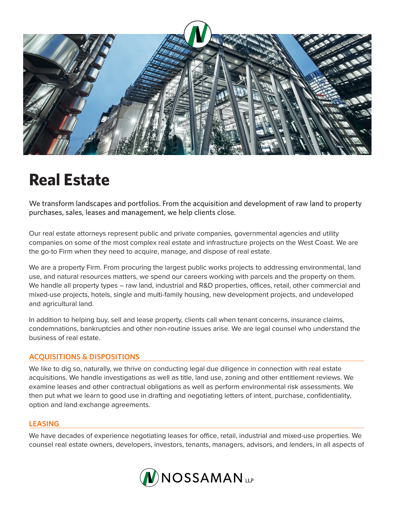

# **Real Estate**

We transform landscapes and portfolios. From the acquisition and development of raw land to property purchases, sales, leases and management, we help clients close.

Our real estate attorneys represent public and private companies, governmental agencies and utility companies on some of the most complex real estate and infrastructure projects on the West Coast. We are the go-to Firm when they need to acquire, manage, and dispose of real estate.

We are a property Firm. From procuring the largest public works projects to addressing environmental, land use, and natural resources matters, we spend our careers working with parcels and the property on them. We handle all property types – raw land, industrial and R&D properties, offices, retail, other commercial and mixed-use projects, hotels, single and multi-family housing, new development projects, and undeveloped and agricultural land.

In addition to helping buy, sell and lease property, clients call when tenant concerns, insurance claims, condemnations, bankruptcies and other non-routine issues arise. We are legal counsel who understand the business of real estate.

# **ACQUISITIONS & DISPOSITIONS**

We like to dig so, naturally, we thrive on conducting legal due diligence in connection with real estate acquisitions. We handle investigations as well as title, land use, zoning and other entitlement reviews. We examine leases and other contractual obligations as well as perform environmental risk assessments. We then put what we learn to good use in drafting and negotiating letters of intent, purchase, confidentiality, option and land exchange agreements.

# **LEASING**

We have decades of experience negotiating leases for office, retail, industrial and mixed-use properties. We counsel real estate owners, developers, investors, tenants, managers, advisors, and lenders, in all aspects of